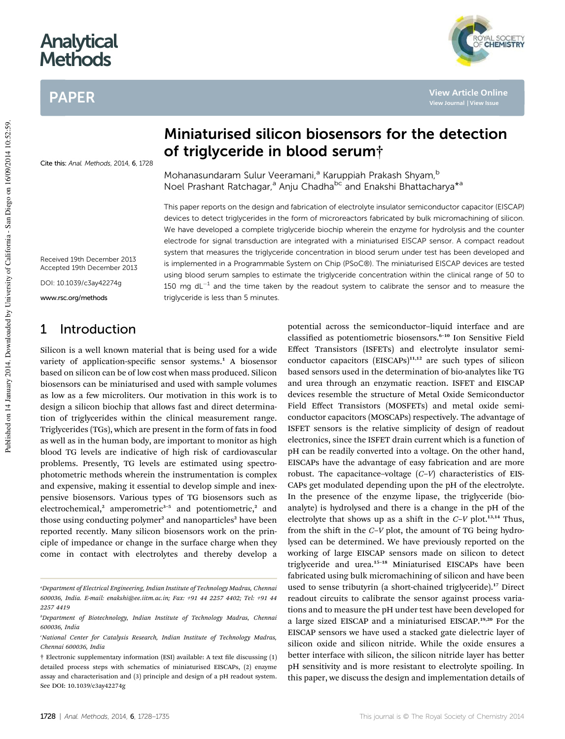# **Analytical Methods**

# PAPER



**View Article Online View Journal | View Issue**

Cite this: Anal. Methods, 2014, 6, 1728

# Miniaturised silicon biosensors for the detection of triglyceride in blood serum†

Mohanasundaram Sulur Veeramani,<sup>a</sup> Karuppiah Prakash Shyam,<sup>b</sup> Noel Prashant Ratchagar,<sup>a</sup> Anju Chadha<sup>bc</sup> and Enakshi Bhattacharya<sup>\*a</sup>

This paper reports on the design and fabrication of electrolyte insulator semiconductor capacitor (EISCAP) devices to detect triglycerides in the form of microreactors fabricated by bulk micromachining of silicon. We have developed a complete triglyceride biochip wherein the enzyme for hydrolysis and the counter electrode for signal transduction are integrated with a miniaturised EISCAP sensor. A compact readout system that measures the triglyceride concentration in blood serum under test has been developed and is implemented in a Programmable System on Chip (PSoC®). The miniaturised EISCAP devices are tested using blood serum samples to estimate the triglyceride concentration within the clinical range of 50 to 150 mg dL<sup>-1</sup> and the time taken by the readout system to calibrate the sensor and to measure the triglyceride is less than 5 minutes.

Received 19th December 2013 Accepted 19th December 2013

DOI: 10.1039/c3ay42274g

www.rsc.org/methods

## 1 Introduction

Silicon is a well known material that is being used for a wide variety of application-specific sensor systems.<sup>1</sup> A biosensor based on silicon can be of low cost when mass produced. Silicon biosensors can be miniaturised and used with sample volumes as low as a few microliters. Our motivation in this work is to design a silicon biochip that allows fast and direct determination of triglycerides within the clinical measurement range. Triglycerides (TGs), which are present in the form of fats in food as well as in the human body, are important to monitor as high blood TG levels are indicative of high risk of cardiovascular problems. Presently, TG levels are estimated using spectrophotometric methods wherein the instrumentation is complex and expensive, making it essential to develop simple and inexpensive biosensors. Various types of TG biosensors such as electrochemical,<sup>2</sup> amperometric<sup>3-5</sup> and potentiometric,<sup>2</sup> and those using conducting polymer<sup>2</sup> and nanoparticles<sup>2</sup> have been reported recently. Many silicon biosensors work on the principle of impedance or change in the surface charge when they come in contact with electrolytes and thereby develop a

potential across the semiconductor–liquid interface and are classified as potentiometric biosensors.<sup>6-10</sup> Ion Sensitive Field Effect Transistors (ISFETs) and electrolyte insulator semiconductor capacitors  $(EISCAPs)^{11,12}$  are such types of silicon based sensors used in the determination of bio-analytes like TG and urea through an enzymatic reaction. ISFET and EISCAP devices resemble the structure of Metal Oxide Semiconductor Field Effect Transistors (MOSFETs) and metal oxide semiconductor capacitors (MOSCAPs) respectively. The advantage of ISFET sensors is the relative simplicity of design of readout electronics, since the ISFET drain current which is a function of pH can be readily converted into a voltage. On the other hand, EISCAPs have the advantage of easy fabrication and are more robust. The capacitance–voltage (*C*–*V*) characteristics of EIS-CAPs get modulated depending upon the pH of the electrolyte. In the presence of the enzyme lipase, the triglyceride (bioanalyte) is hydrolysed and there is a change in the pH of the electrolyte that shows up as a shift in the  $C-V$  plot.<sup>13,14</sup> Thus, from the shift in the *C*–*V* plot, the amount of TG being hydrolysed can be determined. We have previously reported on the working of large EISCAP sensors made on silicon to detect triglyceride and urea.<sup>15-18</sup> Miniaturised EISCAPs have been fabricated using bulk micromachining of silicon and have been used to sense tributyrin (a short-chained triglyceride).<sup>17</sup> Direct readout circuits to calibrate the sensor against process variations and to measure the pH under test have been developed for a large sized EISCAP and a miniaturised EISCAP.19,20 For the EISCAP sensors we have used a stacked gate dielectric layer of silicon oxide and silicon nitride. While the oxide ensures a better interface with silicon, the silicon nitride layer has better pH sensitivity and is more resistant to electrolyte spoiling. In this paper, we discuss the design and implementation details of

*<sup>a</sup>Department of Electrical Engineering, Indian Institute of Technology Madras, Chennai 600036, India. E-mail: enakshi@ee.iitm.ac.in; Fax: +91 44 2257 4402; Tel: +91 44 2257 4419*

*<sup>b</sup>Department of Biotechnology, Indian Institute of Technology Madras, Chennai 600036, India*

*<sup>c</sup>National Center for Catalysis Research, Indian Institute of Technology Madras, Chennai 600036, India*

 $\dagger$  Electronic supplementary information (ESI) available: A text file discussing (1) detailed process steps with schematics of miniaturised EISCAPs, (2) enzyme assay and characterisation and (3) principle and design of a pH readout system. See DOI: 10.1039/c3ay42274g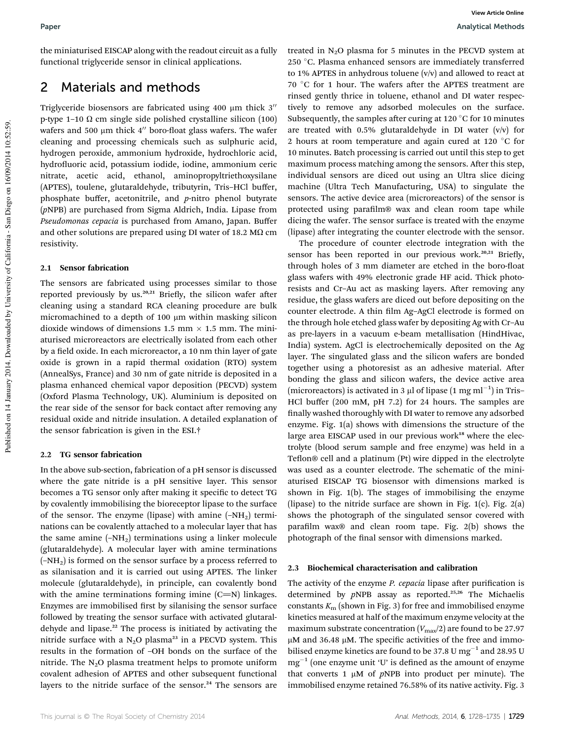## 2 Materials and methods

Triglyceride biosensors are fabricated using 400  $\mu$ m thick 3" p-type 1–10  $\Omega$  cm single side polished crystalline silicon (100) wafers and 500  $\mu$ m thick 4" boro-float glass wafers. The wafer cleaning and processing chemicals such as sulphuric acid, hydrogen peroxide, ammonium hydroxide, hydrochloric acid, hydrofluoric acid, potassium iodide, iodine, ammonium ceric nitrate, acetic acid, ethanol, aminopropyltriethoxysilane (APTES), toulene, glutaraldehyde, tributyrin, Tris–HCl buffer, phosphate buffer, acetonitrile, and *p*-nitro phenol butyrate (*p*NPB) are purchased from Sigma Aldrich, India. Lipase from *Pseudomonas cepacia* is purchased from Amano, Japan. Buffer and other solutions are prepared using DI water of 18.2 M $\Omega$  cm resistivity.

#### 2.1 Sensor fabrication

The sensors are fabricated using processes similar to those reported previously by us.<sup>20,21</sup> Briefly, the silicon wafer after cleaning using a standard RCA cleaning procedure are bulk micromachined to a depth of 100  $\mu$ m within masking silicon dioxide windows of dimensions 1.5 mm  $\times$  1.5 mm. The miniaturised microreactors are electrically isolated from each other by a field oxide. In each microreactor, a 10 nm thin layer of gate oxide is grown in a rapid thermal oxidation (RTO) system (AnnealSys, France) and 30 nm of gate nitride is deposited in a plasma enhanced chemical vapor deposition (PECVD) system (Oxford Plasma Technology, UK). Aluminium is deposited on the rear side of the sensor for back contact after removing any residual oxide and nitride insulation. A detailed explanation of the sensor fabrication is given in the ESI.†

#### 2.2 TG sensor fabrication

In the above sub-section, fabrication of a pH sensor is discussed where the gate nitride is a pH sensitive layer. This sensor becomes a TG sensor only after making it specific to detect TG by covalently immobilising the bioreceptor lipase to the surface of the sensor. The enzyme (lipase) with amine  $(-NH<sub>2</sub>)$  terminations can be covalently attached to a molecular layer that has the same amine  $(-NH<sub>2</sub>)$  terminations using a linker molecule (glutaraldehyde). A molecular layer with amine terminations  $(-NH<sub>2</sub>)$  is formed on the sensor surface by a process referred to as silanisation and it is carried out using APTES. The linker molecule (glutaraldehyde), in principle, can covalently bond with the amine terminations forming imine  $(C=N)$  linkages. Enzymes are immobilised first by silanising the sensor surface followed by treating the sensor surface with activated glutaraldehyde and lipase.<sup>22</sup> The process is initiated by activating the nitride surface with a  $N_2O$  plasma<sup>23</sup> in a PECVD system. This results in the formation of –OH bonds on the surface of the nitride. The  $N_2O$  plasma treatment helps to promote uniform covalent adhesion of APTES and other subsequent functional layers to the nitride surface of the sensor.<sup>24</sup> The sensors are

treated in  $N_2O$  plasma for 5 minutes in the PECVD system at 250 °C. Plasma enhanced sensors are immediately transferred to 1% APTES in anhydrous toluene (v/v) and allowed to react at 70 °C for 1 hour. The wafers after the APTES treatment are rinsed gently thrice in toluene, ethanol and DI water respectively to remove any adsorbed molecules on the surface. Subsequently, the samples after curing at 120  $\degree$ C for 10 minutes are treated with 0.5% glutaraldehyde in DI water  $(v/v)$  for 2 hours at room temperature and again cured at 120  $^{\circ}$ C for 10 minutes. Batch processing is carried out until this step to get maximum process matching among the sensors. After this step, individual sensors are diced out using an Ultra slice dicing machine (Ultra Tech Manufacturing, USA) to singulate the sensors. The active device area (microreactors) of the sensor is protected using parafilm® wax and clean room tape while dicing the wafer. The sensor surface is treated with the enzyme (lipase) after integrating the counter electrode with the sensor.

The procedure of counter electrode integration with the sensor has been reported in our previous work.<sup>20,21</sup> Briefly, through holes of 3 mm diameter are etched in the boro-float glass wafers with 49% electronic grade HF acid. Thick photoresists and Cr-Au act as masking layers. After removing any residue, the glass wafers are diced out before depositing on the counter electrode. A thin film Ag-AgCl electrode is formed on the through hole etched glass wafer by depositing Ag with Cr–Au as pre-layers in a vacuum e-beam metallisation (HindHivac, India) system. AgCl is electrochemically deposited on the Ag layer. The singulated glass and the silicon wafers are bonded together using a photoresist as an adhesive material. After bonding the glass and silicon wafers, the device active area (microreactors) is activated in 3  $\mu$ l of lipase (1 mg ml<sup>-1</sup>) in Tris-HCl buffer (200 mM, pH 7.2) for 24 hours. The samples are finally washed thoroughly with DI water to remove any adsorbed enzyme. Fig. 1(a) shows with dimensions the structure of the large area EISCAP used in our previous work $18$  where the electrolyte (blood serum sample and free enzyme) was held in a Teflon® cell and a platinum (Pt) wire dipped in the electrolyte was used as a counter electrode. The schematic of the miniaturised EISCAP TG biosensor with dimensions marked is shown in Fig. 1(b). The stages of immobilising the enzyme (lipase) to the nitride surface are shown in Fig.  $1(c)$ . Fig.  $2(a)$ shows the photograph of the singulated sensor covered with parafilm wax® and clean room tape. Fig.  $2(b)$  shows the photograph of the final sensor with dimensions marked.

#### 2.3 Biochemical characterisation and calibration

The activity of the enzyme *P. cepacia* lipase after purification is determined by *pNPB* assay as reported.<sup>25,26</sup> The Michaelis constants *K*<sup>m</sup> (shown in Fig. 3) for free and immobilised enzyme kinetics measured at half of the maximum enzyme velocity at the maximum substrate concentration  $(V_{\text{max}}/2)$  are found to be 27.97  $\mu$ M and 36.48  $\mu$ M. The specific activities of the free and immobilised enzyme kinetics are found to be 37.8 U  $mg^{-1}$  and 28.95 U  $mg^{-1}$  (one enzyme unit 'U' is defined as the amount of enzyme that converts  $1 \mu M$  of  $pNPB$  into product per minute). The immobilised enzyme retained 76.58% of its native activity. Fig. 3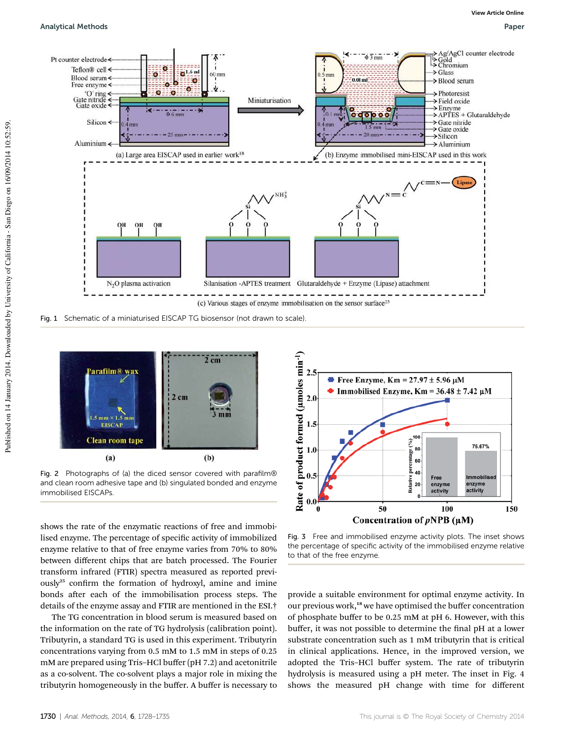#### Analytical Methods Paper



Fig. 1 Schematic of a miniaturised EISCAP TG biosensor (not drawn to scale).



Fig. 2 Photographs of (a) the diced sensor covered with parafilm® and clean room adhesive tape and (b) singulated bonded and enzyme immobilised EISCAPs.

shows the rate of the enzymatic reactions of free and immobilised enzyme. The percentage of specific activity of immobilized enzyme relative to that of free enzyme varies from 70% to 80% between different chips that are batch processed. The Fourier transform infrared (FTIR) spectra measured as reported previously<sup>25</sup> confirm the formation of hydroxyl, amine and imine bonds after each of the immobilisation process steps. The details of the enzyme assay and FTIR are mentioned in the ESI.†

The TG concentration in blood serum is measured based on the information on the rate of TG hydrolysis (calibration point). Tributyrin, a standard TG is used in this experiment. Tributyrin concentrations varying from 0.5 mM to 1.5 mM in steps of 0.25 mM are prepared using Tris–HCl buffer (pH 7.2) and acetonitrile as a co-solvent. The co-solvent plays a major role in mixing the tributyrin homogeneously in the buffer. A buffer is necessary to



Fig. 3 Free and immobilised enzyme activity plots. The inset shows the percentage of specific activity of the immobilised enzyme relative to that of the free enzyme.

provide a suitable environment for optimal enzyme activity. In our previous work,<sup>18</sup> we have optimised the buffer concentration of phosphate buffer to be 0.25 mM at pH 6. However, with this buffer, it was not possible to determine the final pH at a lower substrate concentration such as 1 mM tributyrin that is critical in clinical applications. Hence, in the improved version, we adopted the Tris–HCl buffer system. The rate of tributyrin hydrolysis is measured using a pH meter. The inset in Fig. 4 shows the measured pH change with time for different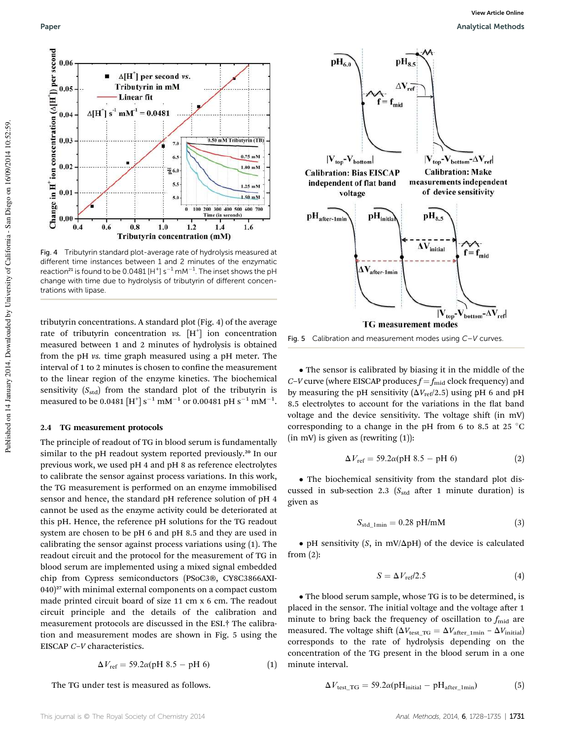

Fig. 4 Tributyrin standard plot-average rate of hydrolysis measured at different time instances between 1 and 2 minutes of the enzymatic reaction<sup>21</sup> is found to be 0.0481 [H<sup>+</sup>] s<sup>-1</sup> mM<sup>-1</sup>. The inset shows the pH change with time due to hydrolysis of tributyrin of different concentrations with lipase.

tributyrin concentrations. A standard plot (Fig. 4) of the average rate of tributyrin concentration  $\mathit{vs.}~[H^+]$  ion concentration measured between 1 and 2 minutes of hydrolysis is obtained from the pH *vs.* time graph measured using a pH meter. The interval of 1 to 2 minutes is chosen to confine the measurement to the linear region of the enzyme kinetics. The biochemical sensitivity  $(S_{std})$  from the standard plot of the tributyrin is measured to be 0.0481 [H<sup>+</sup>] s<sup>-1</sup> mM<sup>-1</sup> or 0.00481 pH s<sup>-1</sup> mM<sup>-1</sup>.

#### 2.4 TG measurement protocols

The principle of readout of TG in blood serum is fundamentally similar to the pH readout system reported previously.<sup>20</sup> In our previous work, we used pH 4 and pH 8 as reference electrolytes to calibrate the sensor against process variations. In this work, the TG measurement is performed on an enzyme immobilised sensor and hence, the standard pH reference solution of pH 4 cannot be used as the enzyme activity could be deteriorated at this pH. Hence, the reference pH solutions for the TG readout system are chosen to be pH 6 and pH 8.5 and they are used in calibrating the sensor against process variations using (1). The readout circuit and the protocol for the measurement of TG in blood serum are implemented using a mixed signal embedded chip from Cypress semiconductors (PSoC3®, CY8C3866AXI- $(040)^{27}$  with minimal external components on a compact custom made printed circuit board of size 11 cm x 6 cm. The readout circuit principle and the details of the calibration and measurement protocols are discussed in the ESI.† The calibration and measurement modes are shown in Fig. 5 using the EISCAP *C*–*V* characteristics.

$$
\Delta V_{\text{ref}} = 59.2\alpha(\text{pH } 8.5 - \text{pH } 6) \tag{1}
$$

The TG under test is measured as follows.



Fig. 5 Calibration and measurement modes using C–V curves.

 The sensor is calibrated by biasing it in the middle of the *C*–*V* curve (where EISCAP produces  $f = f_{mid}$  clock frequency) and by measuring the pH sensitivity  $(\Delta V_{\text{ref}}/2.5)$  using pH 6 and pH 8.5 electrolytes to account for the variations in the flat band voltage and the device sensitivity. The voltage shift (in mV) corresponding to a change in the pH from 6 to 8.5 at 25  $^{\circ}$ C  $(in \, mV)$  is given as  $(rewriting (1))$ :

$$
\Delta V_{\text{ref}} = 59.2\alpha(\text{pH } 8.5 - \text{pH } 6) \tag{2}
$$

 The biochemical sensitivity from the standard plot discussed in sub-section 2.3 (S<sub>std</sub> after 1 minute duration) is given as

$$
S_{\text{std\_1min}} = 0.28 \text{ pH/mM} \tag{3}
$$

 $\bullet$  pH sensitivity (*S*, in mV/ $\Delta$ pH) of the device is calculated from (2):

$$
S = \Delta V_{\text{ref}}/2.5\tag{4}
$$

 The blood serum sample, whose TG is to be determined, is placed in the sensor. The initial voltage and the voltage after 1 minute to bring back the frequency of oscillation to  $f_{mid}$  are measured. The voltage shift  $(\Delta V_{\text{test\_TG}} = \Delta V_{\text{after\_1min}} - \Delta V_{\text{initial}})$ corresponds to the rate of hydrolysis depending on the concentration of the TG present in the blood serum in a one minute interval.

$$
\Delta V_{\text{test\_TG}} = 59.2\alpha(pH_{\text{initial}} - pH_{\text{after\_1min}})
$$
 (5)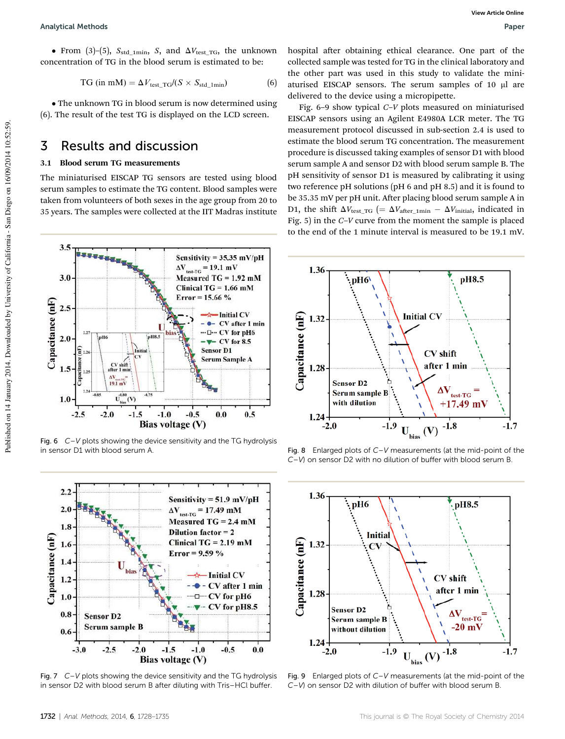• From (3)–(5),  $S_{std\_1min}$ , *S*, and  $\Delta V_{test\_TG}$ , the unknown concentration of TG in the blood serum is estimated to be:

$$
TG (in mM) = \Delta V_{\text{test\_TG}}/(S \times S_{\text{std\_1min}})
$$
 (6)

• The unknown TG in blood serum is now determined using (6). The result of the test TG is displayed on the LCD screen.

### 3 Results and discussion

### 3.1 Blood serum TG measurements

The miniaturised EISCAP TG sensors are tested using blood serum samples to estimate the TG content. Blood samples were taken from volunteers of both sexes in the age group from 20 to 35 years. The samples were collected at the IIT Madras institute



Fig. 6  $C-V$  plots showing the device sensitivity and the TG hydrolysis in sensor D1 with blood serum A.



Fig. 7 C–V plots showing the device sensitivity and the TG hydrolysis in sensor D2 with blood serum B after diluting with Tris–HCl buffer.

hospital after obtaining ethical clearance. One part of the collected sample was tested for TG in the clinical laboratory and the other part was used in this study to validate the miniaturised EISCAP sensors. The serum samples of 10 µl are delivered to the device using a micropipette.

Fig. 6–9 show typical *C*–*V* plots measured on miniaturised EISCAP sensors using an Agilent E4980A LCR meter. The TG measurement protocol discussed in sub-section 2.4 is used to estimate the blood serum TG concentration. The measurement procedure is discussed taking examples of sensor D1 with blood serum sample A and sensor D2 with blood serum sample B. The pH sensitivity of sensor D1 is measured by calibrating it using two reference pH solutions (pH 6 and pH 8.5) and it is found to be 35.35 mV per pH unit. After placing blood serum sample A in D1, the shift  $\Delta V_{\text{test\_TG}}$  (=  $\Delta V_{\text{after\_1min}} - \Delta V_{\text{initial}}$ , indicated in Fig. 5) in the *C*–*V* curve from the moment the sample is placed to the end of the 1 minute interval is measured to be 19.1 mV.



Fig. 8 Enlarged plots of  $C-V$  measurements (at the mid-point of the C–V) on sensor D2 with no dilution of buffer with blood serum B.



Fig. 9 Enlarged plots of  $C-V$  measurements (at the mid-point of the C–V) on sensor D2 with dilution of buffer with blood serum B.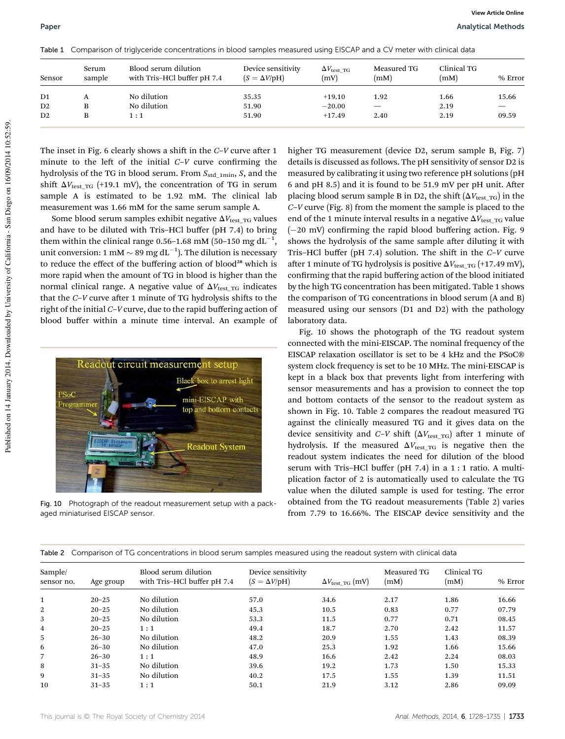| Sensor         | Serum<br>sample | Blood serum dilution<br>with Tris-HCl buffer pH 7.4 | Device sensitivity<br>$(S = \Delta V/\rho H)$ | $\Delta V_{\rm test\ TG}$<br>(mV) | Measured TG<br>(mM) | Clinical TG<br>(mM) | % Error |
|----------------|-----------------|-----------------------------------------------------|-----------------------------------------------|-----------------------------------|---------------------|---------------------|---------|
| D <sub>1</sub> | А               | No dilution                                         | 35.35                                         | $+19.10$                          | 1.92                | 1.66                | 15.66   |
| D2             | B               | No dilution                                         | 51.90                                         | $-20.00$                          |                     | 2.19                |         |
| D2             | B               | 1:1                                                 | 51.90                                         | $+17.49$                          | 2.40                | 2.19                | 09.59   |

Table 1 Comparison of triglyceride concentrations in blood samples measured using EISCAP and a CV meter with clinical data

The inset in Fig. 6 clearly shows a shift in the *C*–*V* curve after 1 minute to the left of the initial  $C-V$  curve confirming the hydrolysis of the TG in blood serum. From  $S_{\text{std\_1min}}$ , *S*, and the shift  $\Delta V_{\text{test TG}}$  (+19.1 mV), the concentration of TG in serum sample A is estimated to be 1.92 mM. The clinical lab measurement was 1.66 mM for the same serum sample A.

Some blood serum samples exhibit negative  $\Delta V_{\text{test TG}}$  values and have to be diluted with Tris–HCl buffer (pH 7.4) to bring them within the clinical range 0.56-1.68 mM (50-150 mg  $dL^{-1}$ , unit conversion: 1 mM  $\sim$  89 mg dL<sup>-1</sup>). The dilution is necessary to reduce the effect of the buffering action of blood<sup>28</sup> which is more rapid when the amount of TG in blood is higher than the normal clinical range. A negative value of  $\Delta V_{\text{test-TG}}$  indicates that the *C*–*V* curve after 1 minute of TG hydrolysis shifts to the right of the initial *C*–*V* curve, due to the rapid buffering action of blood buffer within a minute time interval. An example of



Fig. 10 Photograph of the readout measurement setup with a packaged miniaturised EISCAP sensor.

higher TG measurement (device D2, serum sample B, Fig. 7) details is discussed as follows. The pH sensitivity of sensor D2 is measured by calibrating it using two reference pH solutions (pH 6 and pH 8.5) and it is found to be 51.9 mV per pH unit. After placing blood serum sample B in D2, the shift  $(\Delta V_{\text{test TG}})$  in the *C*–*V* curve (Fig. 8) from the moment the sample is placed to the end of the 1 minute interval results in a negative  $\Delta V_{\text{test}}$  TG value  $(-20 \text{ mV})$  confirming the rapid blood buffering action. Fig. 9 shows the hydrolysis of the same sample after diluting it with Tris–HCl buffer (pH 7.4) solution. The shift in the *C*–*V* curve after 1 minute of TG hydrolysis is positive  $\Delta V_{\text{test-TG}}$  (+17.49 mV), confirming that the rapid buffering action of the blood initiated by the high TG concentration has been mitigated. Table 1 shows the comparison of TG concentrations in blood serum (A and B) measured using our sensors (D1 and D2) with the pathology laboratory data.

Fig. 10 shows the photograph of the TG readout system connected with the mini-EISCAP. The nominal frequency of the EISCAP relaxation oscillator is set to be 4 kHz and the PSoC® system clock frequency is set to be 10 MHz. The mini-EISCAP is kept in a black box that prevents light from interfering with sensor measurements and has a provision to connect the top and bottom contacts of the sensor to the readout system as shown in Fig. 10. Table 2 compares the readout measured TG against the clinically measured TG and it gives data on the device sensitivity and  $C-V$  shift ( $\Delta V_{\text{test TG}}$ ) after 1 minute of hydrolysis. If the measured  $\Delta V_{\text{test TG}}$  is negative then the readout system indicates the need for dilution of the blood serum with Tris–HCl buffer (pH 7.4) in a 1 : 1 ratio. A multiplication factor of 2 is automatically used to calculate the TG value when the diluted sample is used for testing. The error obtained from the TG readout measurements (Table 2) varies from 7.79 to 16.66%. The EISCAP device sensitivity and the

|  |  | Table 2 Comparison of TG concentrations in blood serum samples measured using the readout system with clinical data |  |  |  |  |  |  |
|--|--|---------------------------------------------------------------------------------------------------------------------|--|--|--|--|--|--|
|--|--|---------------------------------------------------------------------------------------------------------------------|--|--|--|--|--|--|

| Sample/    |           | Blood serum dilution<br>with Tris-HCl buffer pH 7.4 | Device sensitivity        |                                  | Measured TG<br>(mM) | Clinical TG<br>(mM) |         |
|------------|-----------|-----------------------------------------------------|---------------------------|----------------------------------|---------------------|---------------------|---------|
| sensor no. | Age group |                                                     | $(S = \Delta V / \rho H)$ | $\Delta V_{\text{test TG}}$ (mV) |                     |                     | % Error |
|            | $20 - 25$ | No dilution                                         | 57.0                      | 34.6                             | 2.17                | 1.86                | 16.66   |
| 2          | $20 - 25$ | No dilution                                         | 45.3                      | 10.5                             | 0.83                | 0.77                | 07.79   |
| 3          | $20 - 25$ | No dilution                                         | 53.3                      | 11.5                             | 0.77                | 0.71                | 08.45   |
| 4          | $20 - 25$ | 1:1                                                 | 49.4                      | 18.7                             | 2.70                | 2.42                | 11.57   |
| 5          | $26 - 30$ | No dilution                                         | 48.2                      | 20.9                             | 1.55                | 1.43                | 08.39   |
| 6          | $26 - 30$ | No dilution                                         | 47.0                      | 25.3                             | 1.92                | 1.66                | 15.66   |
|            | $26 - 30$ | 1:1                                                 | 48.9                      | 16.6                             | 2.42                | 2.24                | 08.03   |
| 8          | $31 - 35$ | No dilution                                         | 39.6                      | 19.2                             | 1.73                | 1.50                | 15.33   |
| 9          | $31 - 35$ | No dilution                                         | 40.2                      | 17.5                             | 1.55                | 1.39                | 11.51   |
| 10         | $31 - 35$ | 1:1                                                 | 50.1                      | 21.9                             | 3.12                | 2.86                | 09.09   |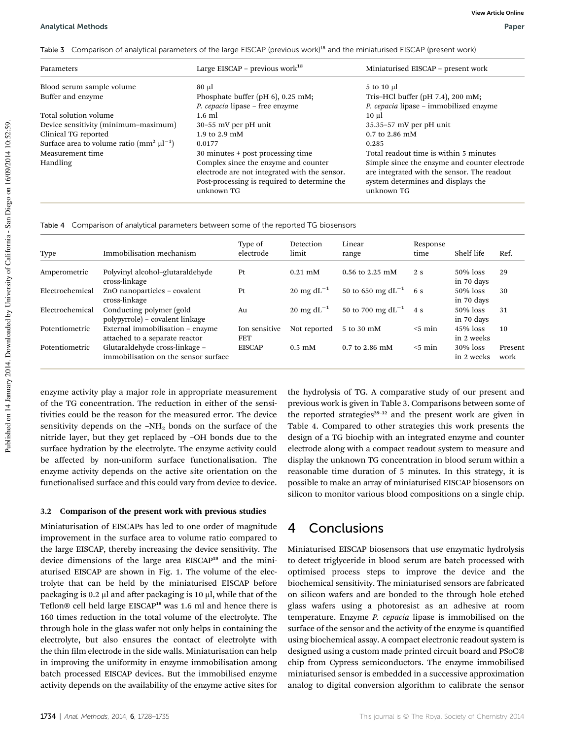Table 3 Comparison of analytical parameters of the large EISCAP (previous work)<sup>18</sup> and the miniaturised EISCAP (present work)

| Parameters                                         | Large EISCAP – previous work <sup>18</sup>                                                                                                          | Miniaturised EISCAP - present work                                                                                                               |
|----------------------------------------------------|-----------------------------------------------------------------------------------------------------------------------------------------------------|--------------------------------------------------------------------------------------------------------------------------------------------------|
| Blood serum sample volume                          | 80 µl                                                                                                                                               | 5 to 10 µl                                                                                                                                       |
| Buffer and enzyme                                  | Phosphate buffer (pH $6$ ), 0.25 mM;                                                                                                                | Tris-HCl buffer (pH $7.4$ ), 200 mM;                                                                                                             |
|                                                    | P. cepacia lipase – free enzyme                                                                                                                     | P. cepacia lipase – immobilized enzyme                                                                                                           |
| Total solution volume                              | $1.6$ ml                                                                                                                                            | $10 \mu$                                                                                                                                         |
| Device sensitivity (minimum-maximum)               | 30-55 mV per pH unit                                                                                                                                | $35.35 - 57$ mV per pH unit                                                                                                                      |
| Clinical TG reported                               | 1.9 to $2.9 \text{ }\mathrm{mM}$                                                                                                                    | $0.7$ to 2.86 mM                                                                                                                                 |
| Surface area to volume ratio $\text{m}^2 \mu^{-1}$ | 0.0177                                                                                                                                              | 0.285                                                                                                                                            |
| Measurement time                                   | 30 minutes + post processing time                                                                                                                   | Total readout time is within 5 minutes                                                                                                           |
| Handling                                           | Complex since the enzyme and counter<br>electrode are not integrated with the sensor.<br>Post-processing is required to determine the<br>unknown TG | Simple since the enzyme and counter electrode<br>are integrated with the sensor. The readout<br>system determines and displays the<br>unknown TG |

Table 4 Comparison of analytical parameters between some of the reported TG biosensors

| Type            | Immobilisation mechanism                                               | Type of<br>electrode        | Detection<br>limit        | Linear<br>range        | Response<br>time | Shelf life                | Ref.            |
|-----------------|------------------------------------------------------------------------|-----------------------------|---------------------------|------------------------|------------------|---------------------------|-----------------|
| Amperometric    | Polyvinyl alcohol-glutaraldehyde<br>cross-linkage                      | Pt                          | $0.21 \text{ mM}$         | 0.56 to 2.25 mM        | 2 s              | $50\%$ loss<br>in 70 days | 29              |
| Electrochemical | ZnO nanoparticles - covalent<br>cross-linkage                          | Pt                          | 20 mg d $L^{-1}$          | 50 to 650 mg $dL^{-1}$ | 6 s              | 50% loss<br>in 70 days    | 30              |
| Electrochemical | Conducting polymer (gold<br>polypyrrole) – covalent linkage            | Au                          | 20 mg d $L^{-1}$          | 50 to 700 mg $dL^{-1}$ | 4 s              | 50% loss<br>in 70 days    | 31              |
| Potentiometric  | External immobilisation – enzyme<br>attached to a separate reactor     | Ion sensitive<br><b>FET</b> | Not reported              | 5 to 30 mM             | $<$ 5 min        | $45\%$ loss<br>in 2 weeks | 10              |
| Potentiometric  | Glutaraldehyde cross-linkage -<br>immobilisation on the sensor surface | <b>EISCAP</b>               | $0.5 \text{ }\mathrm{mM}$ | $0.7$ to 2.86 mM       | $<$ 5 min        | $30\%$ loss<br>in 2 weeks | Present<br>work |

enzyme activity play a major role in appropriate measurement of the TG concentration. The reduction in either of the sensitivities could be the reason for the measured error. The device sensitivity depends on the  $-NH<sub>2</sub>$  bonds on the surface of the nitride layer, but they get replaced by –OH bonds due to the surface hydration by the electrolyte. The enzyme activity could be affected by non-uniform surface functionalisation. The enzyme activity depends on the active site orientation on the functionalised surface and this could vary from device to device.

### 3.2 Comparison of the present work with previous studies

Miniaturisation of EISCAPs has led to one order of magnitude improvement in the surface area to volume ratio compared to the large EISCAP, thereby increasing the device sensitivity. The device dimensions of the large area EISCAP<sup>18</sup> and the miniaturised EISCAP are shown in Fig. 1. The volume of the electrolyte that can be held by the miniaturised EISCAP before packaging is 0.2  $\upmu$ l and after packaging is 10  $\upmu$ l, while that of the Teflon® cell held large EISCAP<sup>18</sup> was 1.6 ml and hence there is 160 times reduction in the total volume of the electrolyte. The through hole in the glass wafer not only helps in containing the electrolyte, but also ensures the contact of electrolyte with the thin film electrode in the side walls. Miniaturisation can help in improving the uniformity in enzyme immobilisation among batch processed EISCAP devices. But the immobilised enzyme activity depends on the availability of the enzyme active sites for

the hydrolysis of TG. A comparative study of our present and previous work is given in Table 3. Comparisons between some of the reported strategies $29-32$  and the present work are given in Table 4. Compared to other strategies this work presents the design of a TG biochip with an integrated enzyme and counter electrode along with a compact readout system to measure and display the unknown TG concentration in blood serum within a reasonable time duration of 5 minutes. In this strategy, it is possible to make an array of miniaturised EISCAP biosensors on silicon to monitor various blood compositions on a single chip.

# 4 Conclusions

Miniaturised EISCAP biosensors that use enzymatic hydrolysis to detect triglyceride in blood serum are batch processed with optimised process steps to improve the device and the biochemical sensitivity. The miniaturised sensors are fabricated on silicon wafers and are bonded to the through hole etched glass wafers using a photoresist as an adhesive at room temperature. Enzyme *P. cepacia* lipase is immobilised on the surface of the sensor and the activity of the enzyme is quantified using biochemical assay. A compact electronic readout system is designed using a custom made printed circuit board and PSoC® chip from Cypress semiconductors. The enzyme immobilised miniaturised sensor is embedded in a successive approximation analog to digital conversion algorithm to calibrate the sensor